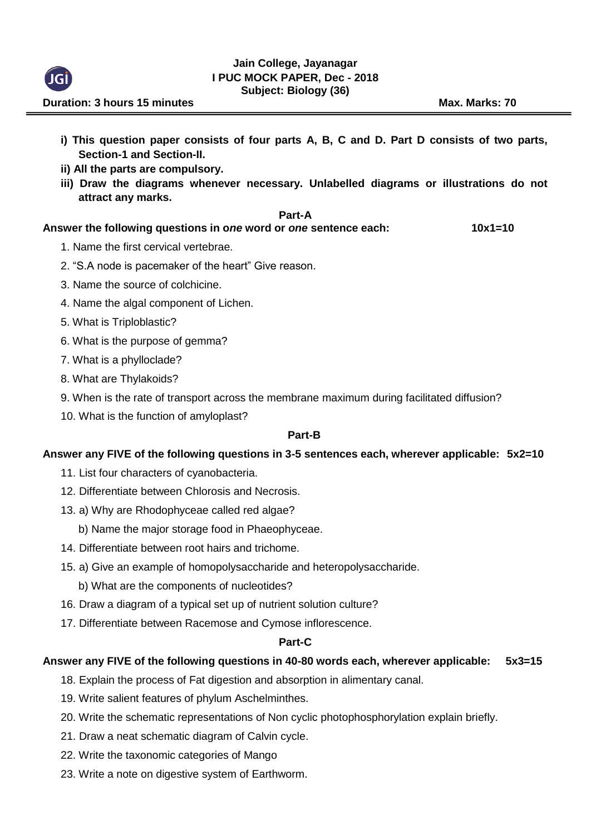

- **i) This question paper consists of four parts A, B, C and D. Part D consists of two parts, Section-1 and Section-II.**
- **ii) All the parts are compulsory.**
- **iii) Draw the diagrams whenever necessary. Unlabelled diagrams or illustrations do not attract any marks.**

## **Part-A**

## **Answer the following questions in o***ne* **word or** *one* **sentence each: 10x1=10**

- 1. Name the first cervical vertebrae.
- 2. "S.A node is pacemaker of the heart" Give reason.
- 3. Name the source of colchicine.
- 4. Name the algal component of Lichen.
- 5. What is Triploblastic?
- 6. What is the purpose of gemma?
- 7. What is a phylloclade?
- 8. What are Thylakoids?
- 9. When is the rate of transport across the membrane maximum during facilitated diffusion?
- 10. What is the function of amyloplast?

## **Part-B**

#### **Answer any FIVE of the following questions in 3-5 sentences each, wherever applicable: 5x2=10**

- 11. List four characters of cyanobacteria.
- 12. Differentiate between Chlorosis and Necrosis.
- 13. a) Why are Rhodophyceae called red algae?
	- b) Name the major storage food in Phaeophyceae.
- 14. Differentiate between root hairs and trichome.
- 15. a) Give an example of homopolysaccharide and heteropolysaccharide.
	- b) What are the components of nucleotides?
- 16. Draw a diagram of a typical set up of nutrient solution culture?
- 17. Differentiate between Racemose and Cymose inflorescence.

# **Part-C**

# **Answer any FIVE of the following questions in 40-80 words each, wherever applicable: 5x3=15**

- 18. Explain the process of Fat digestion and absorption in alimentary canal.
- 19. Write salient features of phylum Aschelminthes.
- 20. Write the schematic representations of Non cyclic photophosphorylation explain briefly.
- 21. Draw a neat schematic diagram of Calvin cycle.
- 22. Write the taxonomic categories of Mango
- 23. Write a note on digestive system of Earthworm.